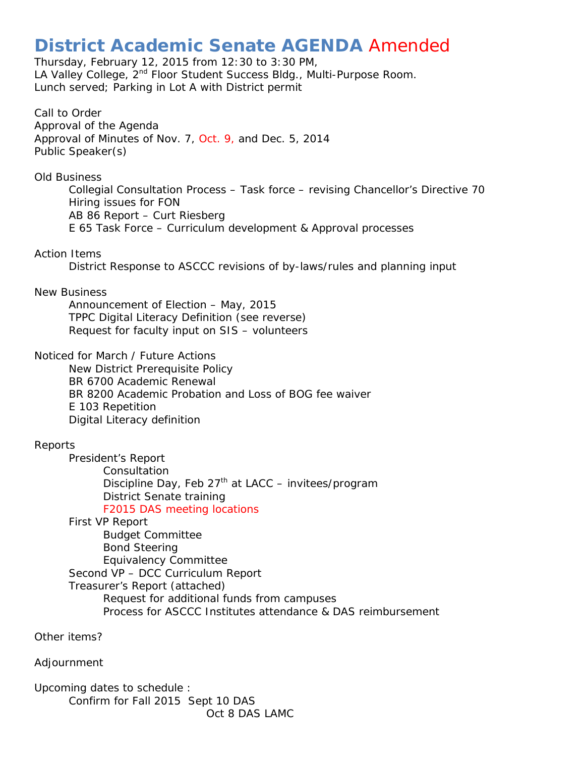# **District Academic Senate AGENDA** Amended

Thursday, February 12, 2015 from 12:30 to 3:30 PM, LA Valley College, 2<sup>nd</sup> Floor Student Success Bldg., Multi-Purpose Room. Lunch served; Parking in Lot A with District permit

Call to Order Approval of the Agenda Approval of Minutes of Nov. 7, Oct. 9, and Dec. 5, 2014 Public Speaker(s)

Old Business

Collegial Consultation Process – Task force – revising Chancellor's Directive 70 Hiring issues for FON AB 86 Report – Curt Riesberg E 65 Task Force – Curriculum development & Approval processes

#### Action Items

District Response to ASCCC revisions of by-laws/rules and planning input

#### New Business

Announcement of Election – May, 2015 TPPC Digital Literacy Definition (see reverse) Request for faculty input on SIS – volunteers

Noticed for March / Future Actions

New District Prerequisite Policy BR 6700 Academic Renewal BR 8200 Academic Probation and Loss of BOG fee waiver E 103 Repetition Digital Literacy definition

## Reports

President's Report **Consultation** Discipline Day, Feb  $27<sup>th</sup>$  at LACC – invitees/program District Senate training F2015 DAS meeting locations

First VP Report Budget Committee Bond Steering Equivalency Committee Second VP – DCC Curriculum Report Treasurer's Report (attached) Request for additional funds from campuses Process for ASCCC Institutes attendance & DAS reimbursement

Other items?

Adjournment

Upcoming dates to schedule : Confirm for Fall 2015 Sept 10 DAS Oct 8 DAS LAMC